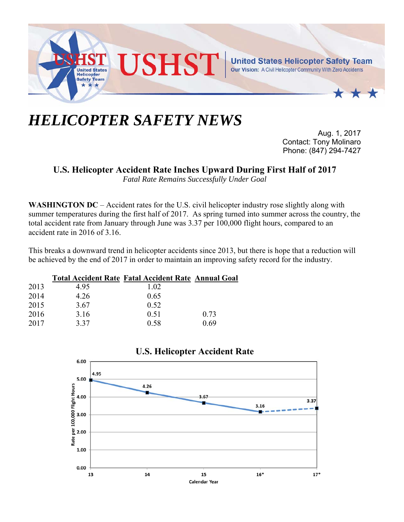

## *HELICOPTER SAFETY NEWS*

Aug. 1, 2017 Contact: Tony Molinaro Phone: (847) 294-7427

**U.S. Helicopter Accident Rate Inches Upward During First Half of 2017** 

*Fatal Rate Remains Successfully Under Goal* 

**WASHINGTON DC** – Accident rates for the U.S. civil helicopter industry rose slightly along with summer temperatures during the first half of 2017. As spring turned into summer across the country, the total accident rate from January through June was 3.37 per 100,000 flight hours, compared to an accident rate in 2016 of 3.16.

This breaks a downward trend in helicopter accidents since 2013, but there is hope that a reduction will be achieved by the end of 2017 in order to maintain an improving safety record for the industry.

|      |      | <b>Total Accident Rate Fatal Accident Rate Annual Goal</b> |      |
|------|------|------------------------------------------------------------|------|
| 2013 | 4.95 | 1.02                                                       |      |
| 2014 | 4.26 | 0.65                                                       |      |
| 2015 | 3.67 | 0.52                                                       |      |
| 2016 | 3.16 | 0.51                                                       | 0.73 |
| 2017 | 3.37 | 0.58                                                       | 0.69 |



## **U.S. Helicopter Accident Rate**